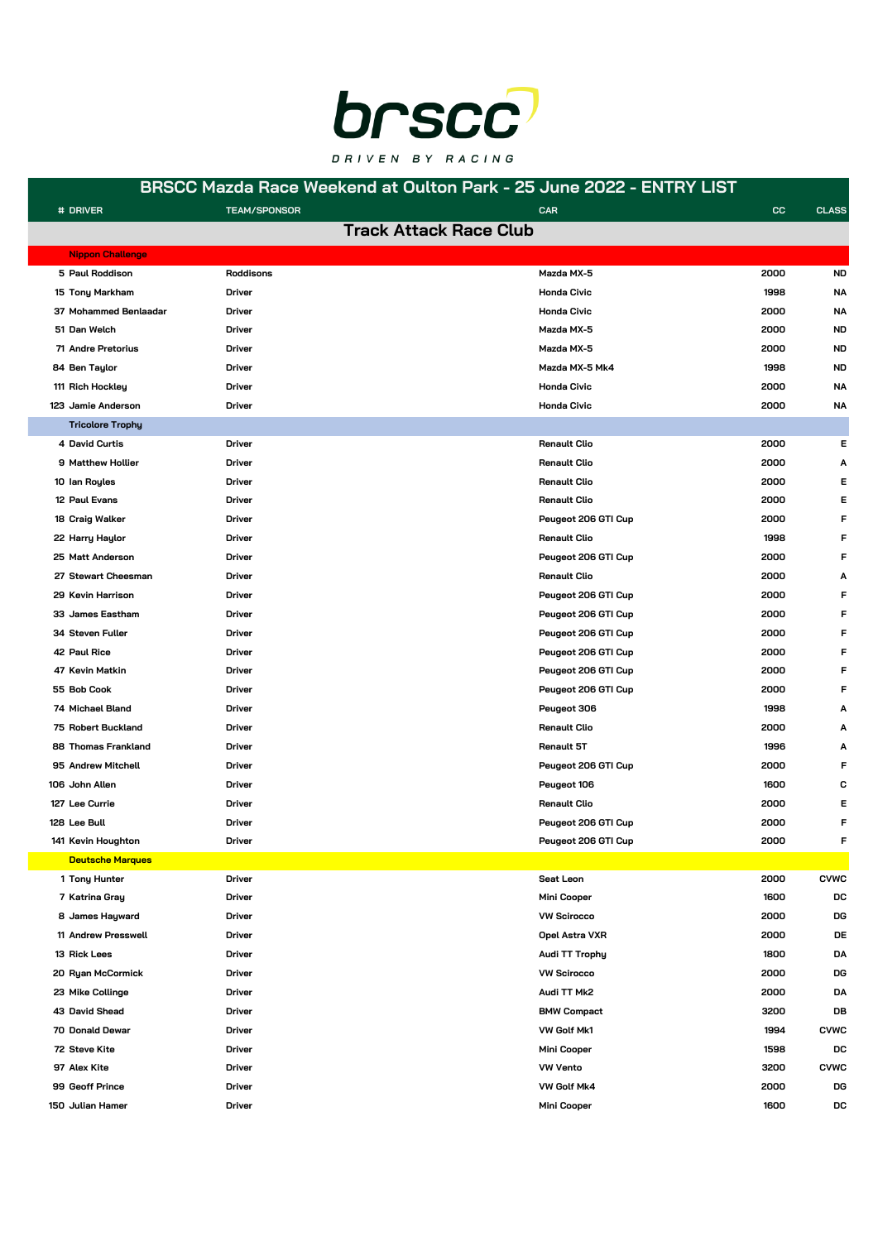

#### **BRSCC Mazda Race Weekend at Oulton Park - 25 June 2022 - ENTRY LIST**

F

T

| # DRIVER                | <b>TEAM/SPONSOR</b> | <b>CAR</b>                    | CC.<br><b>CLASS</b> |
|-------------------------|---------------------|-------------------------------|---------------------|
|                         |                     | <b>Track Attack Race Club</b> |                     |
| <b>Nippon Challenge</b> |                     |                               |                     |
| 5 Paul Roddison         | Roddisons           | Mazda MX-5                    | 2000<br><b>ND</b>   |
| 15 Tony Markham         | <b>Driver</b>       | <b>Honda Civic</b>            | 1998<br><b>NA</b>   |
| 37 Mohammed Benlaadar   | <b>Driver</b>       | <b>Honda Civic</b>            | 2000<br>NA          |
| 51 Dan Welch            | <b>Driver</b>       | Mazda MX-5                    | 2000<br>ND          |
| 71 Andre Pretorius      | <b>Driver</b>       | Mazda MX-5                    | 2000<br><b>ND</b>   |
| 84 Ben Taylor           | <b>Driver</b>       | Mazda MX-5 Mk4                | 1998<br><b>ND</b>   |
| 111 Rich Hockley        | <b>Driver</b>       | <b>Honda Civic</b>            | 2000<br>NA          |
| 123 Jamie Anderson      | <b>Driver</b>       | <b>Honda Civic</b>            | 2000<br>ΝA          |
| <b>Tricolore Trophy</b> |                     |                               |                     |
| 4 David Curtis          | Driver              | <b>Renault Clio</b>           | 2000<br>Е           |
| 9 Matthew Hollier       | <b>Driver</b>       | <b>Renault Clio</b>           | 2000<br>Α           |
| 10 Ian Royles           | <b>Driver</b>       | <b>Renault Clio</b>           | 2000<br>Е           |
| 12 Paul Evans           | <b>Driver</b>       | <b>Renault Clio</b>           | 2000<br>Е           |
| 18 Craig Walker         | <b>Driver</b>       | Peugeot 206 GTI Cup           | F<br>2000           |
| 22 Harry Haylor         | <b>Driver</b>       | <b>Renault Clio</b>           | 1998<br>F           |
| 25 Matt Anderson        | <b>Driver</b>       | Peugeot 206 GTI Cup           | 2000                |
| 27 Stewart Cheesman     | <b>Driver</b>       | <b>Renault Clio</b>           | 2000<br>Α           |
| 29 Kevin Harrison       | <b>Driver</b>       | Peugeot 206 GTI Cup           | 2000<br>F           |
| 33 James Eastham        | <b>Driver</b>       | Peugeot 206 GTI Cup           | 2000<br>F           |
| 34 Steven Fuller        | <b>Driver</b>       | Peugeot 206 GTI Cup           | 2000<br>F           |
| 42 Paul Rice            | <b>Driver</b>       | Peugeot 206 GTI Cup           | 2000<br>F           |
| 47 Kevin Matkin         | <b>Driver</b>       | Peugeot 206 GTI Cup           | 2000<br>F           |
| 55 Bob Cook             | <b>Driver</b>       | Peugeot 206 GTI Cup           | 2000<br>F           |
| 74 Michael Bland        | <b>Driver</b>       | Peugeot 306                   | 1998<br>Α           |
| 75 Robert Buckland      | <b>Driver</b>       | <b>Renault Clio</b>           | 2000<br>А           |
| 88 Thomas Frankland     | <b>Driver</b>       | Renault 5T                    | 1996<br>А           |
| 95 Andrew Mitchell      | <b>Driver</b>       | Peugeot 206 GTI Cup           | 2000<br>F           |
| 106 John Allen          | <b>Driver</b>       | Peugeot 106                   | 1600<br>c           |
| 127 Lee Currie          | <b>Driver</b>       | <b>Renault Clio</b>           | 2000<br>Е           |
| 128 Lee Bull            | <b>Driver</b>       | Peugeot 206 GTI Cup           | 2000<br>F           |
| 141 Kevin Houghton      | Driver              | Peugeot 206 GTI Cup           | 2000<br>F           |
| <b>Deutsche Marques</b> |                     |                               |                     |
| 1 Tony Hunter           | Driver              | Seat Leon                     | 2000<br><b>CVWC</b> |
| 7 Katrina Gray          | <b>Driver</b>       | Mini Cooper                   | 1600<br>DC          |
| 8 James Hayward         | Driver              | <b>VW Scirocco</b>            | 2000<br>DG          |
| 11 Andrew Presswell     | <b>Driver</b>       | Opel Astra VXR                | 2000<br>DE          |
| 13 Rick Lees            | <b>Driver</b>       | Audi TT Trophy                | 1800<br>DA          |
| 20 Ryan McCormick       | <b>Driver</b>       | <b>VW Scirocco</b>            | 2000<br>DG          |
| 23 Mike Collinge        | <b>Driver</b>       | Audi TT Mk2                   | 2000<br>DA          |
| 43 David Shead          | Driver              | <b>BMW Compact</b>            | 3200<br>DB          |
| 70 Donald Dewar         | <b>Driver</b>       | VW Golf Mk1                   | 1994<br><b>CVWC</b> |
| 72 Steve Kite           | Driver              | Mini Cooper                   | 1598<br>DC          |
| 97 Alex Kite            | <b>Driver</b>       | <b>VW Vento</b>               | 3200<br><b>CVWC</b> |
| 99 Geoff Prince         | <b>Driver</b>       | VW Golf Mk4                   | 2000<br>DG          |
| 150 Julian Hamer        | <b>Driver</b>       | Mini Cooper                   | 1600<br>DC          |
|                         |                     |                               |                     |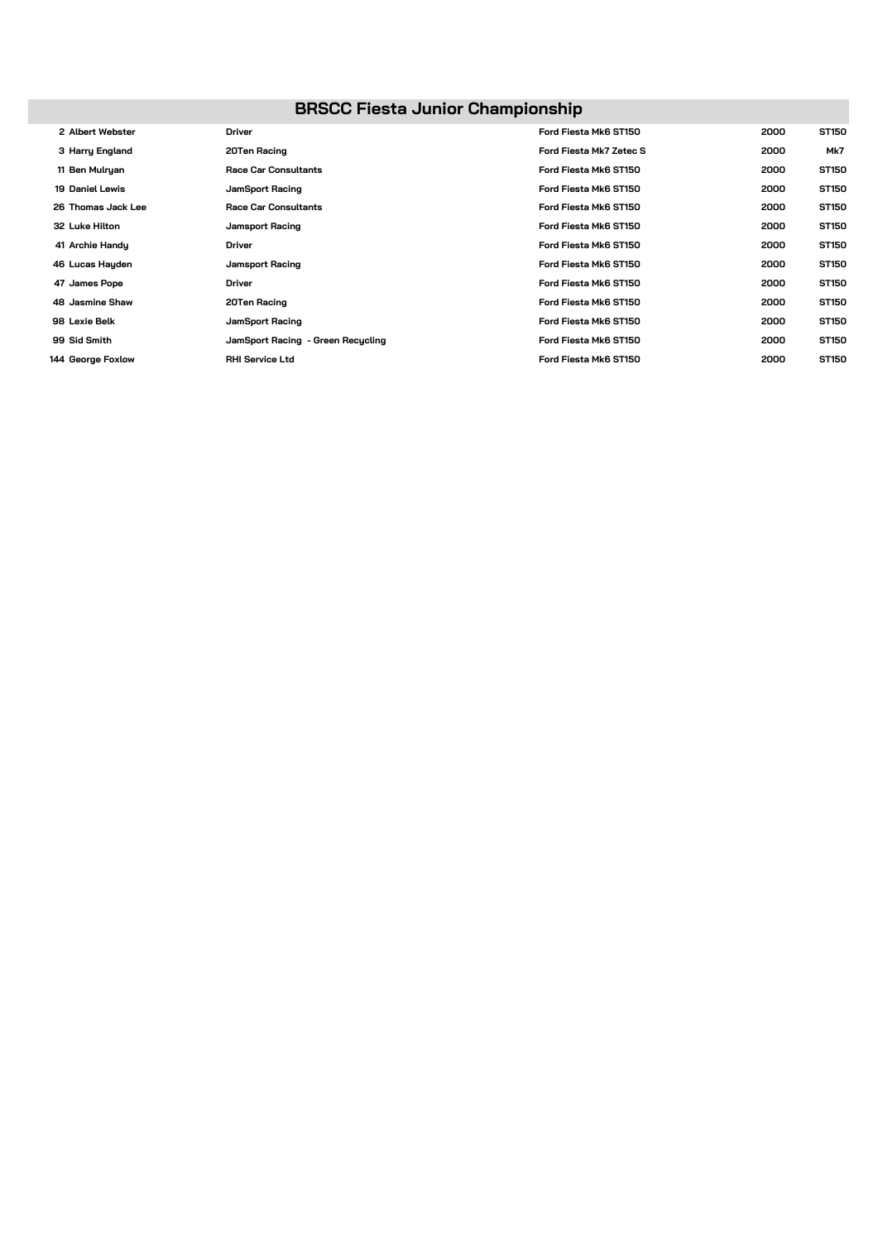## **BRSCC Fiesta Junior Championship**

| 2 Albert Webster       | <b>Driver</b>                     | Ford Fiesta Mk6 ST150   | 2000 | ST150 |
|------------------------|-----------------------------------|-------------------------|------|-------|
| 3 Harry England        | 20Ten Racing                      | Ford Fiesta Mk7 Zetec S | 2000 | Mk7   |
| 11 Ben Mulryan         | <b>Race Car Consultants</b>       | Ford Fiesta Mk6 ST150   | 2000 | ST150 |
| <b>19 Daniel Lewis</b> | JamSport Racing                   | Ford Fiesta Mk6 ST150   | 2000 | ST150 |
| 26 Thomas Jack Lee     | <b>Race Car Consultants</b>       | Ford Fiesta Mk6 ST150   | 2000 | ST150 |
| 32 Luke Hilton         | Jamsport Racing                   | Ford Fiesta Mk6 ST150   | 2000 | ST150 |
| 41 Archie Handy        | <b>Driver</b>                     | Ford Fiesta Mk6 ST150   | 2000 | ST150 |
| 46 Lucas Hayden        | Jamsport Racing                   | Ford Fiesta Mk6 ST150   | 2000 | ST150 |
| 47 James Pope          | <b>Driver</b>                     | Ford Fiesta Mk6 ST150   | 2000 | ST150 |
| 48 Jasmine Shaw        | 20Ten Racing                      | Ford Fiesta Mk6 ST150   | 2000 | ST150 |
| 98 Lexie Belk          | JamSport Racing                   | Ford Fiesta Mk6 ST150   | 2000 | ST150 |
| 99 Sid Smith           | JamSport Racing - Green Recycling | Ford Fiesta Mk6 ST150   | 2000 | ST150 |
| 144 George Foxlow      | <b>RHI Service Ltd</b>            | Ford Fiesta Mk6 ST150   | 2000 | ST150 |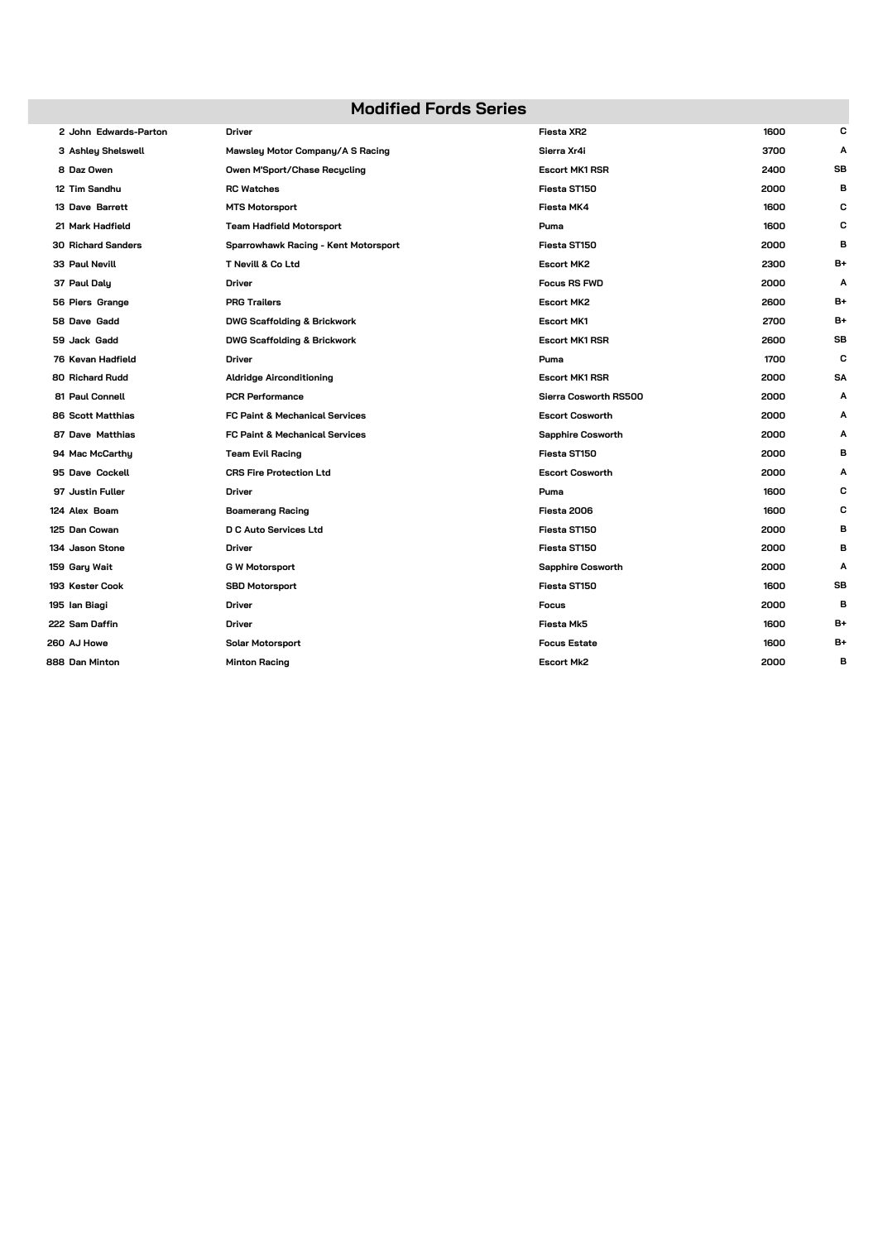#### **Modified Fords Series**

| 2 John Edwards-Parton     | <b>Driver</b>                             | Fiesta XR2               | 1600 | с         |
|---------------------------|-------------------------------------------|--------------------------|------|-----------|
| 3 Ashley Shelswell        | Mawsley Motor Company/A S Racing          | Sierra Xr4i              | 3700 | Α         |
| 8 Daz Owen                | Owen M'Sport/Chase Recycling              | <b>Escort MK1 RSR</b>    | 2400 | <b>SB</b> |
| 12 Tim Sandhu             | <b>RC Watches</b>                         | Fiesta ST150             | 2000 | в         |
| 13 Dave Barrett           | <b>MTS Motorsport</b>                     | Fiesta MK4               | 1600 | С         |
| 21 Mark Hadfield          | Team Hadfield Motorsport                  | Puma                     | 1600 | c         |
| <b>30 Richard Sanders</b> | Sparrowhawk Racing - Kent Motorsport      | Fiesta ST150             | 2000 | в         |
| 33 Paul Nevill            | T Nevill & Co Ltd                         | <b>Escort MK2</b>        | 2300 | B+        |
| 37 Paul Daly              | Driver                                    | <b>Focus RS FWD</b>      | 2000 | Α         |
| 56 Piers Grange           | <b>PRG Trailers</b>                       | <b>Escort MK2</b>        | 2600 | B+        |
| 58 Dave Gadd              | <b>DWG Scaffolding &amp; Brickwork</b>    | <b>Escort MK1</b>        | 2700 | B+        |
| 59 Jack Gadd              | <b>DWG Scaffolding &amp; Brickwork</b>    | <b>Escort MK1 RSR</b>    | 2600 | SB        |
| 76 Kevan Hadfield         | <b>Driver</b>                             | Puma                     | 1700 | c         |
| <b>80 Richard Rudd</b>    | <b>Aldridge Airconditioning</b>           | <b>Escort MK1 RSR</b>    | 2000 | <b>SA</b> |
| 81 Paul Connell           | <b>PCR Performance</b>                    | Sierra Cosworth RS500    | 2000 | Α         |
| 86 Scott Matthias         | <b>FC Paint &amp; Mechanical Services</b> | <b>Escort Cosworth</b>   | 2000 | A         |
| 87 Dave Matthias          | FC Paint & Mechanical Services            | <b>Sapphire Cosworth</b> | 2000 | A         |
| 94 Mac McCarthy           | <b>Team Evil Racing</b>                   | Fiesta ST150             | 2000 | в         |
| 95 Dave Cockell           | <b>CRS Fire Protection Ltd</b>            | <b>Escort Cosworth</b>   | 2000 | A         |
| 97 Justin Fuller          | Driver                                    | Puma                     | 1600 | С         |
| 124 Alex Boam             | <b>Boamerang Racing</b>                   | Fiesta 2006              | 1600 | С         |
| 125 Dan Cowan             | <b>D C Auto Services Ltd</b>              | Fiesta ST150             | 2000 | в         |
| 134 Jason Stone           | Driver                                    | Fiesta ST150             | 2000 | в         |
| 159 Gary Wait             | <b>G W Motorsport</b>                     | <b>Sapphire Cosworth</b> | 2000 | Α         |
| 193 Kester Cook           | <b>SBD Motorsport</b>                     | Fiesta ST150             | 1600 | SB        |
| 195 Ian Biagi             | <b>Driver</b>                             | <b>Focus</b>             | 2000 | B         |
| 222 Sam Daffin            | <b>Driver</b>                             | Fiesta Mk5               | 1600 | B+        |
| 260 AJ Howe               | Solar Motorsport                          | <b>Focus Estate</b>      | 1600 | B+        |
| 888 Dan Minton            | <b>Minton Racing</b>                      | <b>Escort Mk2</b>        | 2000 | в         |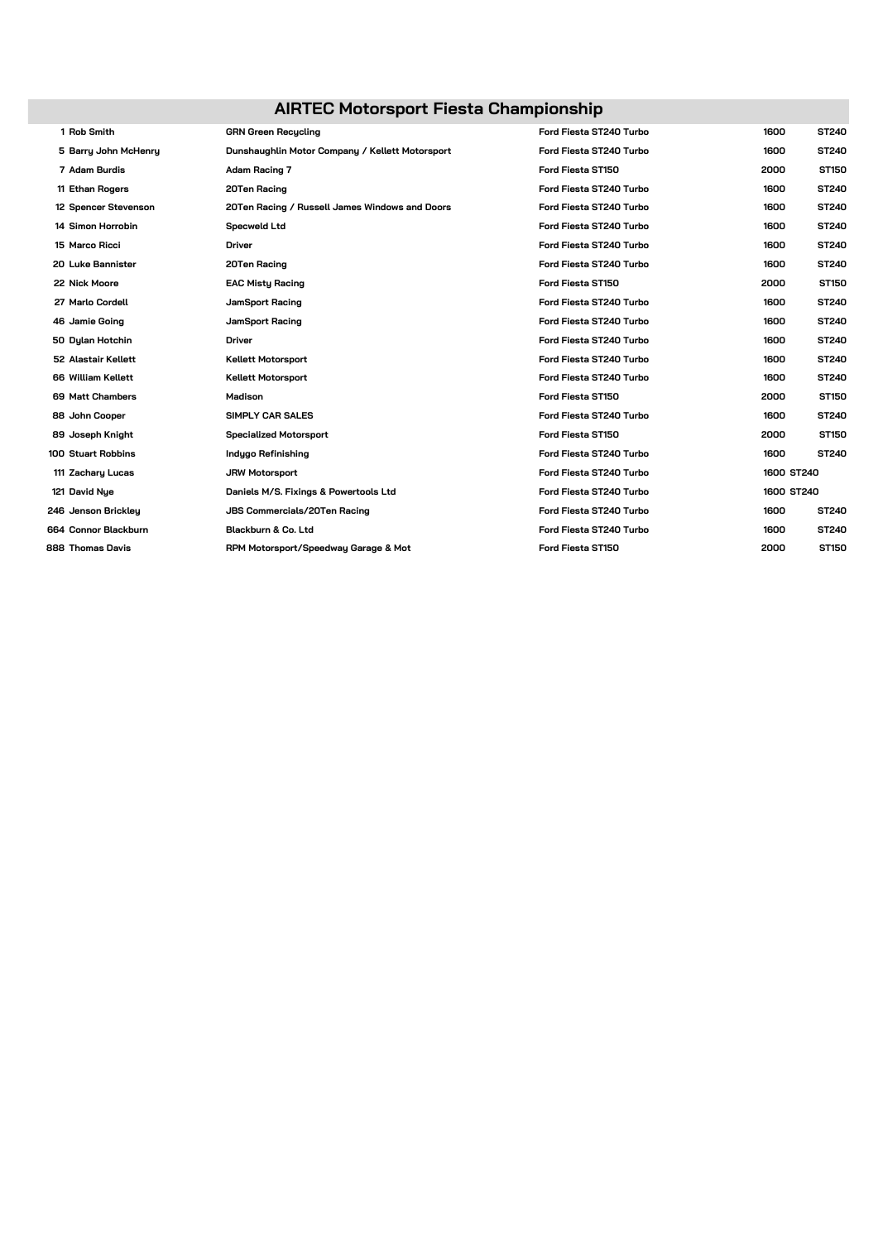# **AIRTEC Motorsport Fiesta Championship**

| 1 Rob Smith          | <b>GRN Green Recucling</b>                      | Ford Fiesta ST240 Turbo | 1600       | <b>ST240</b> |
|----------------------|-------------------------------------------------|-------------------------|------------|--------------|
| 5 Barry John McHenry | Dunshaughlin Motor Company / Kellett Motorsport | Ford Fiesta ST240 Turbo | 1600       | <b>ST240</b> |
| 7 Adam Burdis        | Adam Racing 7                                   | Ford Fiesta ST150       | 2000       | ST150        |
| 11 Ethan Rogers      | 20Ten Racing                                    | Ford Fiesta ST240 Turbo | 1600       | <b>ST240</b> |
| 12 Spencer Stevenson | 20Ten Racing / Russell James Windows and Doors  | Ford Fiesta ST240 Turbo | 1600       | <b>ST240</b> |
| 14 Simon Horrobin    | <b>Specweld Ltd</b>                             | Ford Fiesta ST240 Turbo | 1600       | ST240        |
| 15 Marco Ricci       | <b>Driver</b>                                   | Ford Fiesta ST240 Turbo | 1600       | <b>ST240</b> |
| 20 Luke Bannister    | 20Ten Racing                                    | Ford Fiesta ST240 Turbo | 1600       | ST240        |
| 22 Nick Moore        | <b>EAC Misty Racing</b>                         | Ford Fiesta ST150       | 2000       | ST150        |
| 27 Marlo Cordell     | JamSport Racing                                 | Ford Fiesta ST240 Turbo | 1600       | ST240        |
| 46 Jamie Going       | JamSport Racing                                 | Ford Fiesta ST240 Turbo | 1600       | <b>ST240</b> |
| 50 Dylan Hotchin     | Driver                                          | Ford Fiesta ST240 Turbo | 1600       | <b>ST240</b> |
| 52 Alastair Kellett  | <b>Kellett Motorsport</b>                       | Ford Fiesta ST240 Turbo | 1600       | <b>ST240</b> |
| 66 William Kellett   | <b>Kellett Motorsport</b>                       | Ford Fiesta ST240 Turbo | 1600       | ST240        |
| 69 Matt Chambers     | Madison                                         | Ford Fiesta ST150       | 2000       | <b>ST150</b> |
| 88 John Cooper       | SIMPLY CAR SALES                                | Ford Fiesta ST240 Turbo | 1600       | ST240        |
| 89 Joseph Knight     | <b>Specialized Motorsport</b>                   | Ford Fiesta ST150       | 2000       | ST150        |
| 100 Stuart Robbins   | Indugo Refinishing                              | Ford Fiesta ST240 Turbo | 1600       | <b>ST240</b> |
| 111 Zachary Lucas    | <b>JRW Motorsport</b>                           | Ford Fiesta ST240 Turbo | 1600 ST240 |              |
| 121 David Nye        | Daniels M/S. Fixings & Powertools Ltd           | Ford Fiesta ST240 Turbo | 1600 ST240 |              |
| 246 Jenson Brickley  | JBS Commercials/20Ten Racing                    | Ford Fiesta ST240 Turbo | 1600       | ST240        |
| 664 Connor Blackburn | Blackburn & Co. Ltd                             | Ford Fiesta ST240 Turbo | 1600       | <b>ST240</b> |
| 888 Thomas Davis     | RPM Motorsport/Speedway Garage & Mot            | Ford Fiesta ST150       | 2000       | ST150        |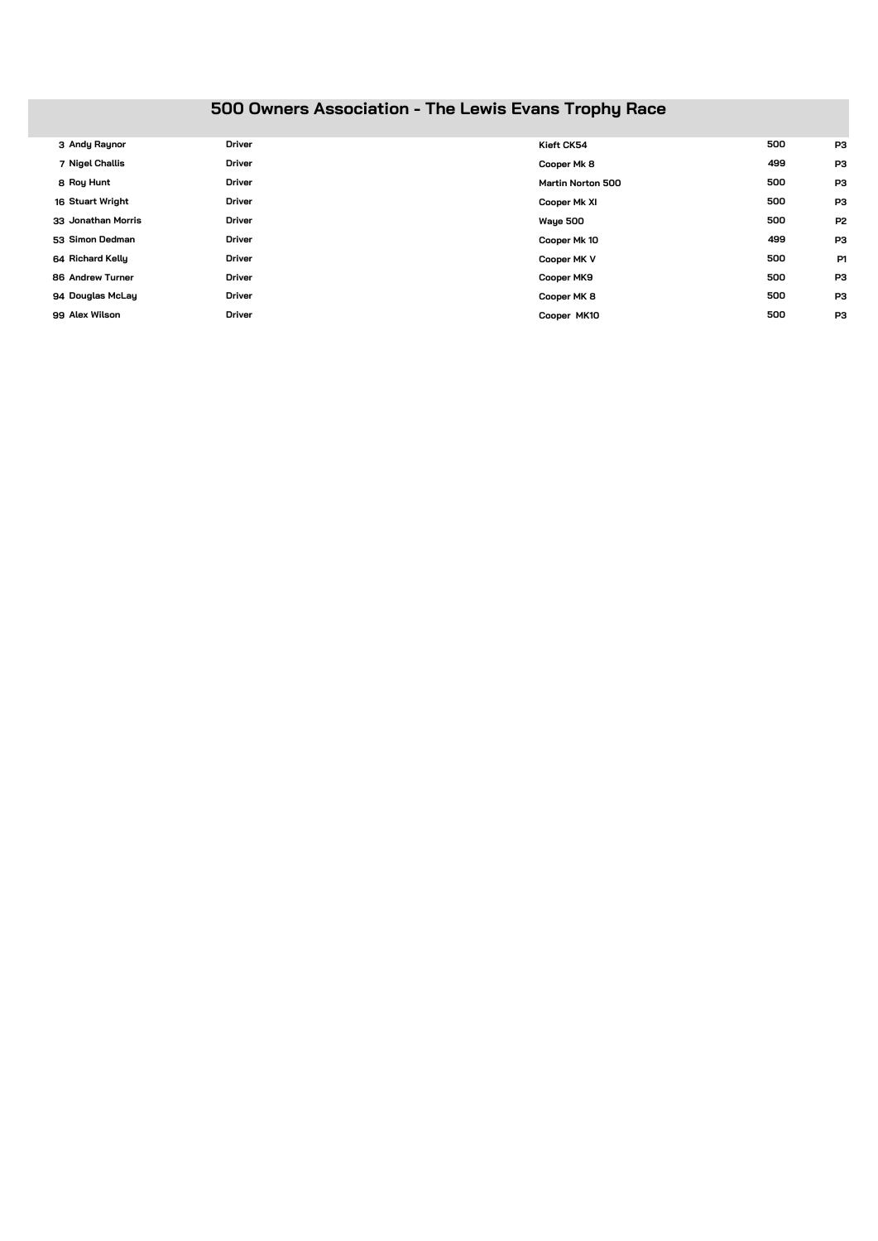# **500 Owners Association - The Lewis Evans Trophy Race**

| 3 Andy Raynor      | <b>Driver</b> | Kieft CK54               | 500 | P3             |
|--------------------|---------------|--------------------------|-----|----------------|
| 7 Nigel Challis    | <b>Driver</b> | Cooper Mk 8              | 499 | P3             |
| 8 Roy Hunt         | <b>Driver</b> | <b>Martin Norton 500</b> | 500 | P3             |
| 16 Stuart Wright   | <b>Driver</b> | Cooper Mk XI             | 500 | P3             |
| 33 Jonathan Morris | <b>Driver</b> | Waye 500                 | 500 | P <sub>2</sub> |
| 53 Simon Dedman    | <b>Driver</b> | Cooper Mk 10             | 499 | P3             |
| 64 Richard Kelly   | <b>Driver</b> | Cooper MK V              | 500 | P1             |
| 86 Andrew Turner   | <b>Driver</b> | Cooper MK9               | 500 | P <sub>3</sub> |
| 94 Douglas McLay   | <b>Driver</b> | Cooper MK 8              | 500 | P3             |
| 99 Alex Wilson     | <b>Driver</b> | Cooper MK10              | 500 | P <sub>3</sub> |
|                    |               |                          |     |                |